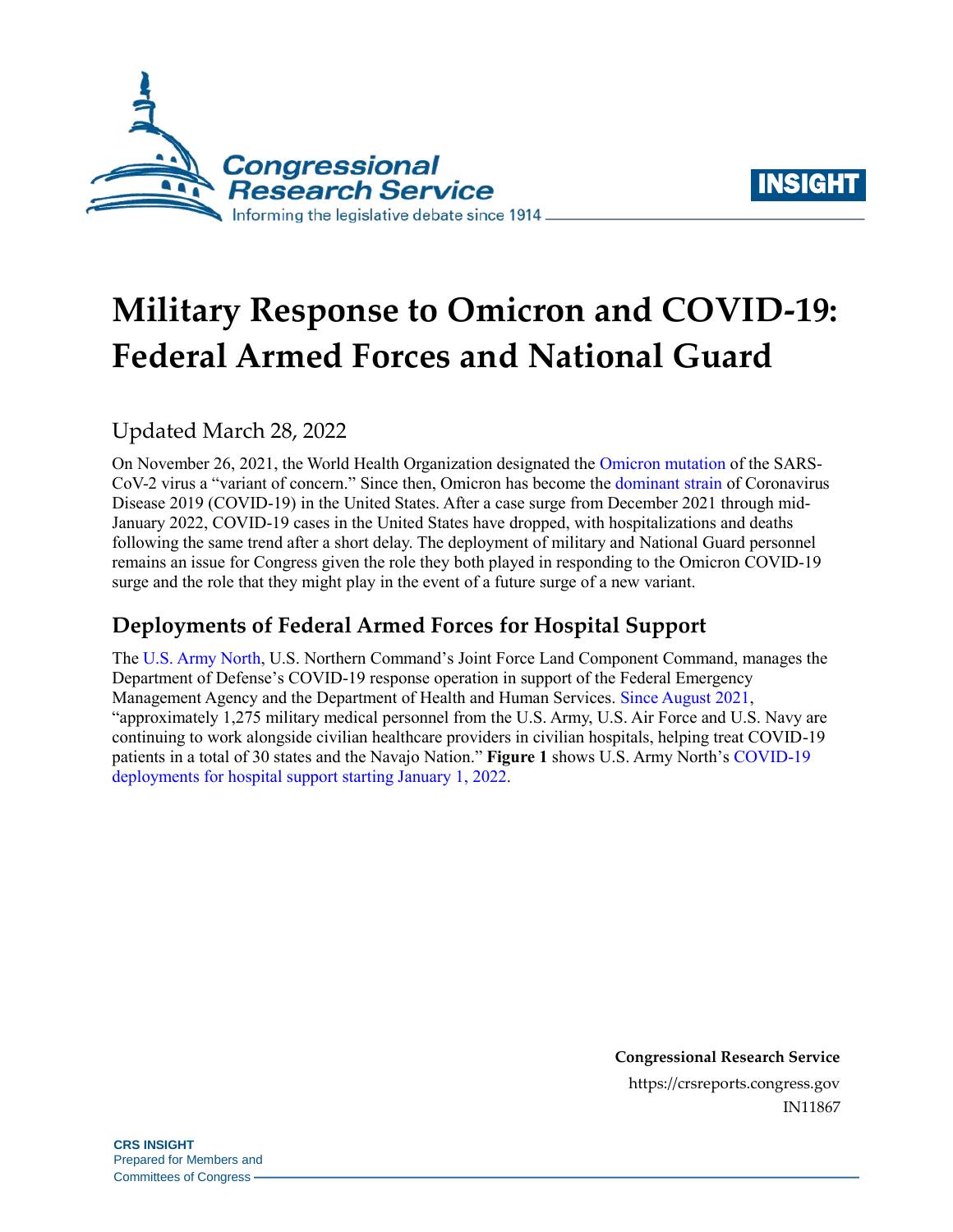



# **Military Response to Omicron and COVID-19: Federal Armed Forces and National Guard**

# Updated March 28, 2022

On November 26, 2021, the World Health Organization designated the [Omicron mutation](https://www.who.int/news/item/26-11-2021-classification-of-omicron-(b.1.1.529)-sars-cov-2-variant-of-concern) of the SARS-CoV-2 virus a "variant of concern." Since then, Omicron has become the [dominant strain](https://covid.cdc.gov/covid-data-tracker/#variant-proportions) of Coronavirus Disease 2019 (COVID-19) in the United States. After a case surge from December 2021 through mid-January 2022, COVID-19 cases in the United States have dropped, with hospitalizations and deaths following the same trend after a short delay. The deployment of military and National Guard personnel remains an issue for Congress given the role they both played in responding to the Omicron COVID-19 surge and the role that they might play in the event of a future surge of a new variant.

## **Deployments of Federal Armed Forces for Hospital Support**

The [U.S. Army North,](https://www.arnorth.army.mil/Portals/4/Documents/JFLCC%20Fact%20Sheets/Fact%20Sheet%20-%20U.S.%20Army%20North%20COVID-19%20Hospital%20Support%20Since%20August%202021%20(21%20Jan%2022).pdf) U.S. Northern Command's Joint Force Land Component Command, manages the Department of Defense's COVID-19 response operation in support of the Federal Emergency Management Agency and the Department of Health and Human Services. [Since August 2021,](https://www.arnorth.army.mil/Portals/4/Documents/JFLCC%20Fact%20Sheets/Fact%20Sheet%20-%20U.S.%20Army%20North%20COVID-19%20Hospital%20Support%20Since%20August%202021-1MAR2022.pdf?ver=8MMs2p7EwI-hbyrWWpSgBg%3d%3d) "approximately 1,275 military medical personnel from the U.S. Army, U.S. Air Force and U.S. Navy are continuing to work alongside civilian healthcare providers in civilian hospitals, helping treat COVID-19 patients in a total of 30 states and the Navajo Nation." **[Figure 1](#page-1-0)** shows U.S. Army North's [COVID-19](https://www.arnorth.army.mil/Portals/4/Documents/JFLCC%20Fact%20Sheets/Fact%20Sheet%20-%20U.S.%20Army%20North%20COVID-19%20Hospital%20Support%20Since%20August%202021-1MAR2022.pdf?ver=8MMs2p7EwI-hbyrWWpSgBg%3d%3d)  [deployments for hospital support starting](https://www.arnorth.army.mil/Portals/4/Documents/JFLCC%20Fact%20Sheets/Fact%20Sheet%20-%20U.S.%20Army%20North%20COVID-19%20Hospital%20Support%20Since%20August%202021-1MAR2022.pdf?ver=8MMs2p7EwI-hbyrWWpSgBg%3d%3d) January 1, 2022.

> **Congressional Research Service** https://crsreports.congress.gov IN11867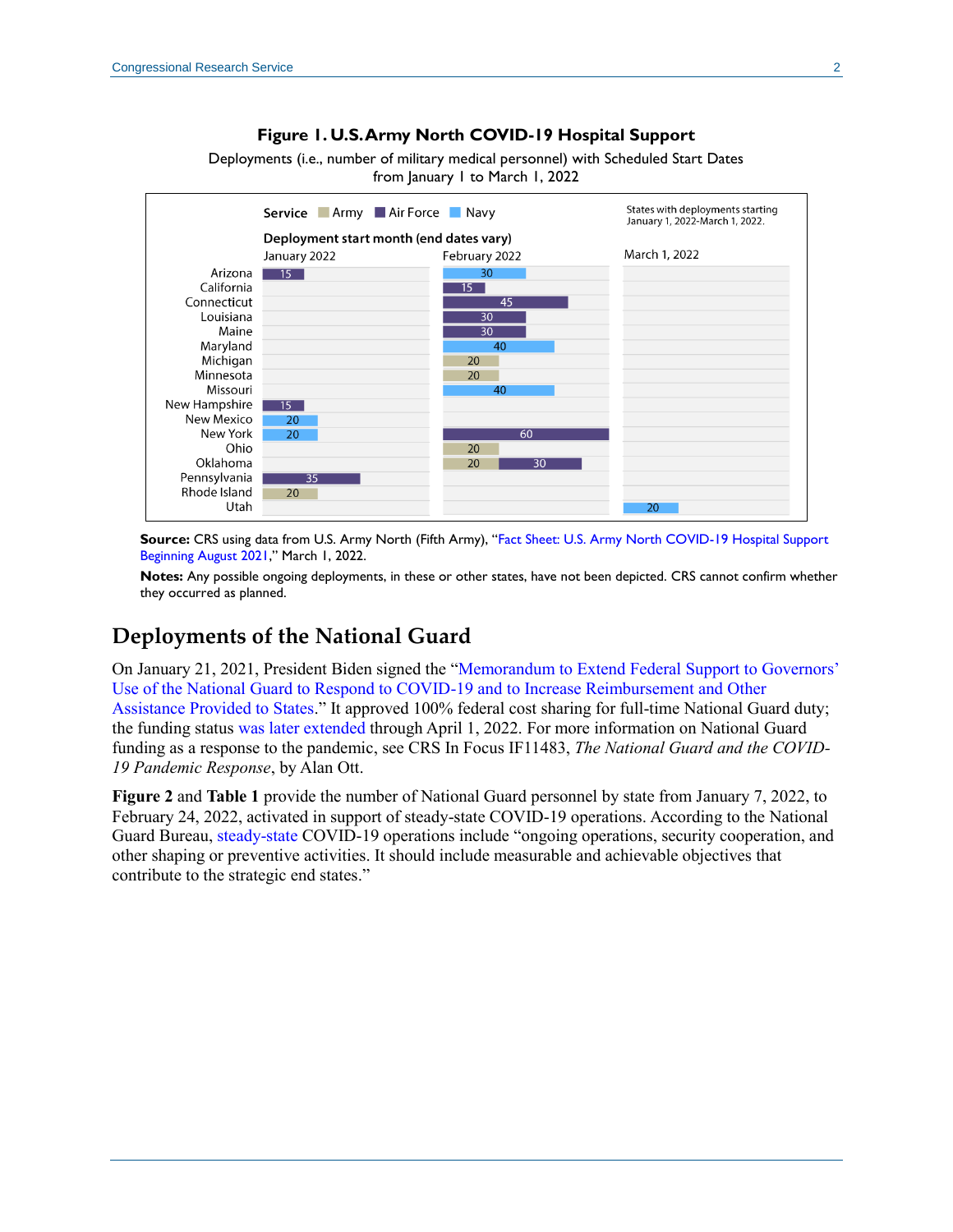#### **Figure 1. U.S. Army North COVID-19 Hospital Support**

Deployments (i.e., number of military medical personnel) with Scheduled Start Dates from January 1 to March 1, 2022

<span id="page-1-0"></span>

**Source:** CRS using data from U.S. Army North (Fifth Army), "[Fact Sheet: U.S. Army North COVID-19 Hospital Support](https://www.arnorth.army.mil/Portals/4/Documents/JFLCC%20Fact%20Sheets/Fact%20Sheet%20-%20U.S.%20Army%20North%20COVID-19%20Hospital%20Support%20Since%20August%202021-1MAR2022.pdf?ver=8MMs2p7EwI-hbyrWWpSgBg%3d%3d)  [Beginning August 2021](https://www.arnorth.army.mil/Portals/4/Documents/JFLCC%20Fact%20Sheets/Fact%20Sheet%20-%20U.S.%20Army%20North%20COVID-19%20Hospital%20Support%20Since%20August%202021-1MAR2022.pdf?ver=8MMs2p7EwI-hbyrWWpSgBg%3d%3d)," March 1, 2022.

**Notes:** Any possible ongoing deployments, in these or other states, have not been depicted. CRS cannot confirm whether they occurred as planned.

### **Deployments of the National Guard**

On January 21, 2021, President Biden signed the ["Memorandum to Extend Federal Support to Governors'](https://www.whitehouse.gov/briefing-room/presidential-actions/2021/01/21/extend-federal-support-to-governors-use-of-national-guard-to-respond-to-covid-19-and-to-increase-reimbursement-and-other-assistance-provided-to-states/)  [Use of the National Guard to Respond to COVID-19](https://www.whitehouse.gov/briefing-room/presidential-actions/2021/01/21/extend-federal-support-to-governors-use-of-national-guard-to-respond-to-covid-19-and-to-increase-reimbursement-and-other-assistance-provided-to-states/) and to Increase Reimbursement and Other [Assistance Provided to States.](https://www.whitehouse.gov/briefing-room/presidential-actions/2021/01/21/extend-federal-support-to-governors-use-of-national-guard-to-respond-to-covid-19-and-to-increase-reimbursement-and-other-assistance-provided-to-states/)" It approved 100% federal cost sharing for full-time National Guard duty; the funding status [was later extended](https://www.whitehouse.gov/briefing-room/presidential-actions/2021/11/09/memorandum-for-the-secretary-of-homeland-security-and-the-administrator-of-the-federal-emergency-management-agency-on-maximizing-assistance-to-respond-to-covid-19/) through April 1, 2022. For more information on National Guard funding as a response to the pandemic, see CRS In Focus IF11483, *[The National Guard and the COVID-](https://crsreports.congress.gov/product/pdf/IF/IF11483)[19 Pandemic Response](https://crsreports.congress.gov/product/pdf/IF/IF11483)*, by Alan Ott.

**[Figure 2](#page-2-0)** and **[Table 1](#page-2-1)** provide the number of National Guard personnel by state from January 7, 2022, to February 24, 2022, activated in support of steady-state COVID-19 operations. According to the National Guard Bureau, [steady-state](https://www.jcs.mil/Portals/36/Documents/Doctrine/pubs/jp1_ch1.pdf) COVID-19 operations include "ongoing operations, security cooperation, and other shaping or preventive activities. It should include measurable and achievable objectives that contribute to the strategic end states."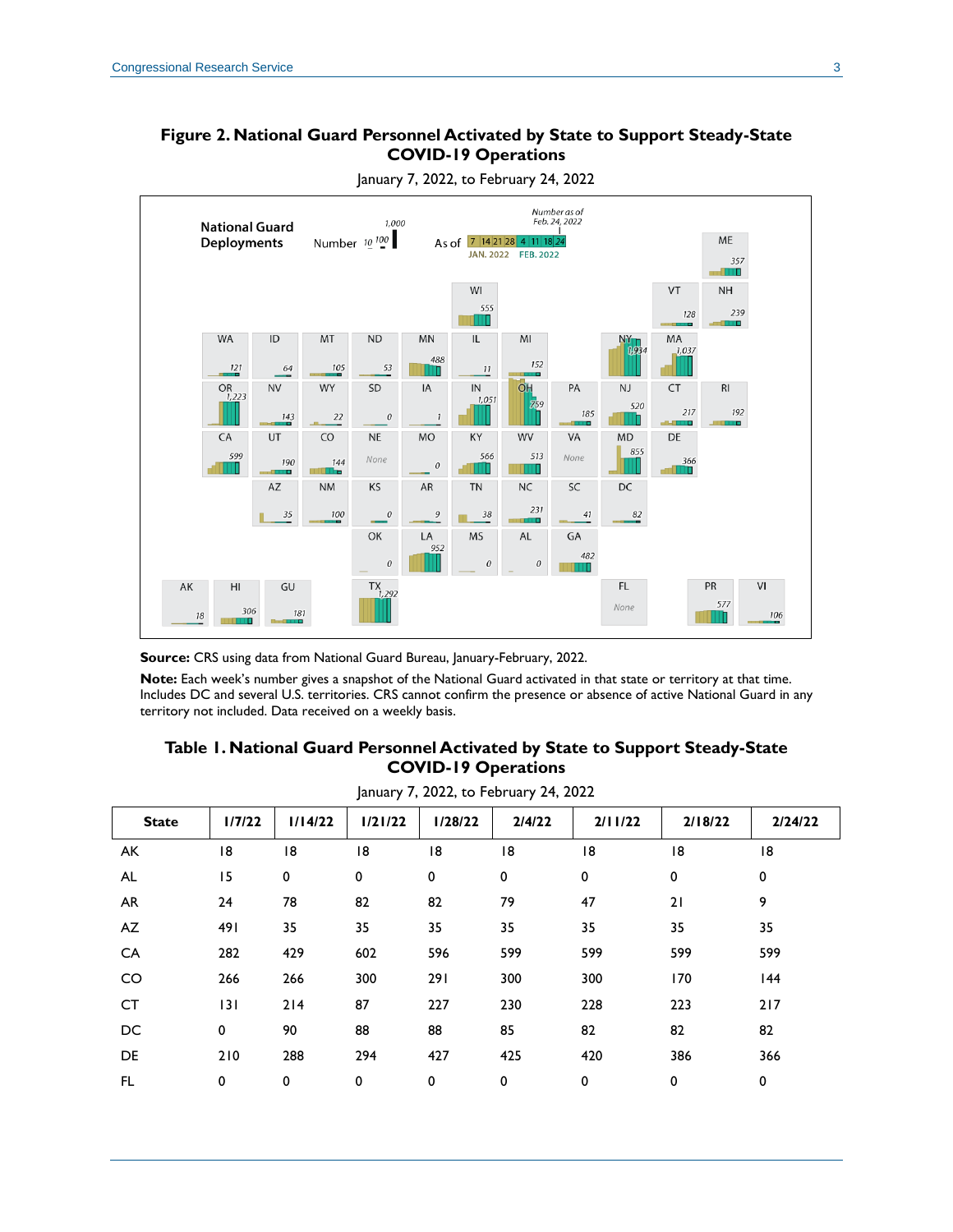#### <span id="page-2-0"></span>**Figure 2. National Guard Personnel Activated by State to Support Steady-State COVID-19 Operations**



January 7, 2022, to February 24, 2022

**Source:** CRS using data from National Guard Bureau, January-February, 2022.

**Note:** Each week's number gives a snapshot of the National Guard activated in that state or territory at that time. Includes DC and several U.S. territories. CRS cannot confirm the presence or absence of active National Guard in any territory not included. Data received on a weekly basis.

#### **Table 1. National Guard Personnel Activated by State to Support Steady-State COVID-19 Operations**

<span id="page-2-1"></span>

| January 7, 2022, to February 24, 2022 |        |             |         |         |        |         |         |         |  |
|---------------------------------------|--------|-------------|---------|---------|--------|---------|---------|---------|--|
| <b>State</b>                          | 1/7/22 | 1/14/22     | 1/21/22 | 1/28/22 | 2/4/22 | 2/11/22 | 2/18/22 | 2/24/22 |  |
| AK                                    | 18     | 8           | 18      | 18      | 8      | 18      | 18      | 18      |  |
| <b>AL</b>                             | 15     | $\mathbf 0$ | 0       | 0       | 0      | 0       | 0       | 0       |  |
| <b>AR</b>                             | 24     | 78          | 82      | 82      | 79     | 47      | 21      | 9       |  |
| AZ                                    | 491    | 35          | 35      | 35      | 35     | 35      | 35      | 35      |  |
| CA                                    | 282    | 429         | 602     | 596     | 599    | 599     | 599     | 599     |  |
| CO                                    | 266    | 266         | 300     | 291     | 300    | 300     | 170     | 144     |  |
| <b>CT</b>                             | 3      | 214         | 87      | 227     | 230    | 228     | 223     | 217     |  |
| DC                                    | 0      | 90          | 88      | 88      | 85     | 82      | 82      | 82      |  |
| DE                                    | 210    | 288         | 294     | 427     | 425    | 420     | 386     | 366     |  |
| FL.                                   | 0      | 0           | 0       | 0       | 0      | 0       | 0       | 0       |  |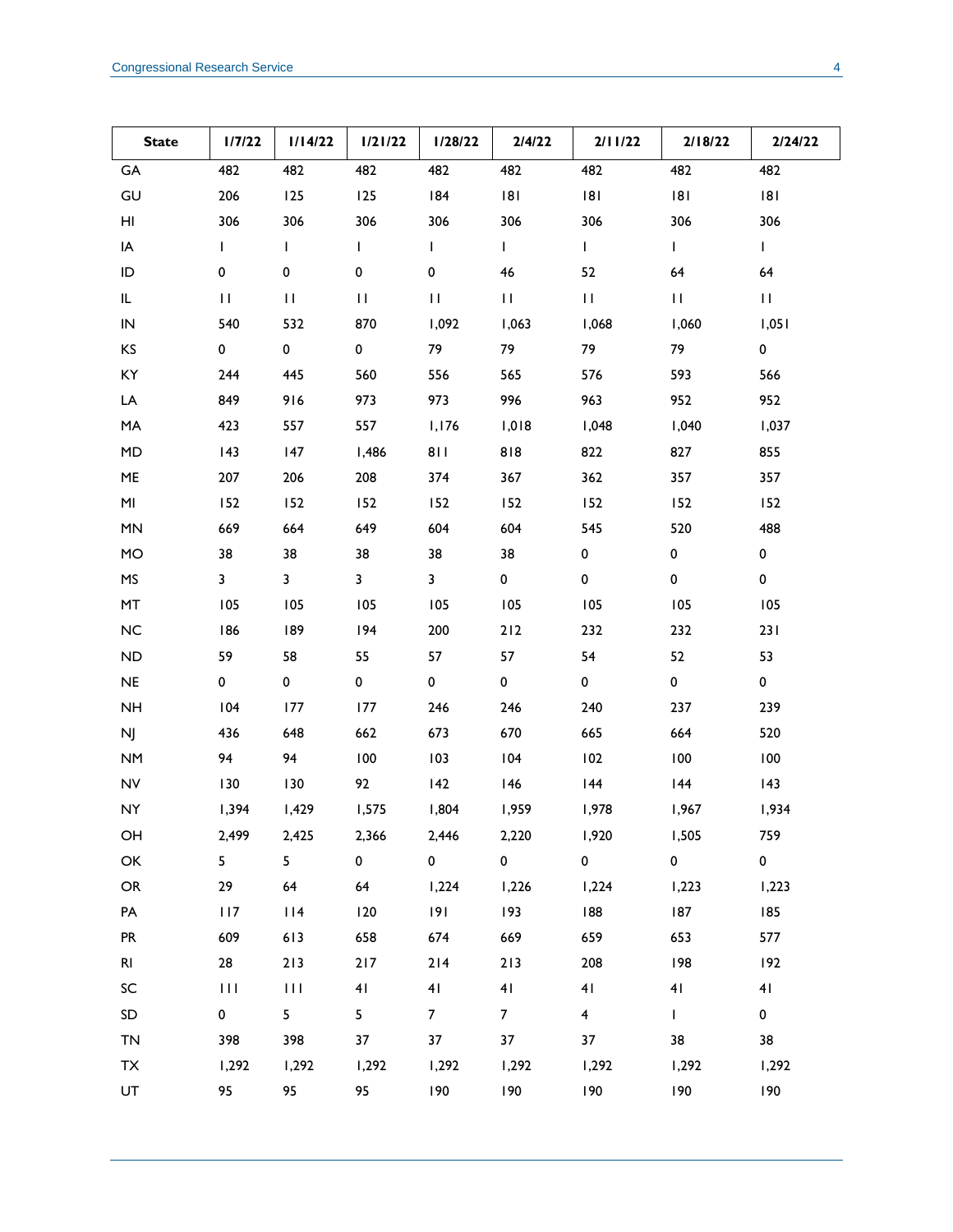| <b>State</b> | 1/7/22                  | 1/14/22                 | 1/21/22      | 1/28/22        | 2/4/22            | 2/11/22                 | 2/18/22        | 2/24/22      |
|--------------|-------------------------|-------------------------|--------------|----------------|-------------------|-------------------------|----------------|--------------|
| GA           | 482                     | 482                     | 482          | 482            | 482               | 482                     | 482            | 482          |
| GU           | 206                     | 125                     | 125          | 184            | 8                 | 181                     | 181            | 8            |
| HI           | 306                     | 306                     | 306          | 306            | 306               | 306                     | 306            | 306          |
| IA           | $\mathbf{L}$            | L                       | $\mathbf{I}$ | $\mathbf{I}$   | $\mathbf{L}$      | $\mathbf{I}$            | $\mathbf{L}$   | $\mathbf{L}$ |
| ID           | 0                       | 0                       | 0            | 0              | 46                | 52                      | 64             | 64           |
| IL.          | $\mathbf{H}$            | $\mathbf{H}$            | $\mathbf{H}$ | $\mathbf{H}$   | $\mathbf{H}$      | $\mathbf{H}$            | $\mathbf{H}$   | $\mathbf{H}$ |
| ${\sf IN}$   | 540                     | 532                     | 870          | 1,092          | 1,063             | 1,068                   | 1,060          | 1,051        |
| KS           | 0                       | $\mathbf 0$             | 0            | 79             | 79                | 79                      | 79             | $\mathbf 0$  |
| KY           | 244                     | 445                     | 560          | 556            | 565               | 576                     | 593            | 566          |
| LA           | 849                     | 916                     | 973          | 973            | 996               | 963                     | 952            | 952          |
| MA           | 423                     | 557                     | 557          | 1,176          | 1,018             | 1,048                   | 1,040          | 1,037        |
| MD           | 143                     | 147                     | I,486        | 811            | 818               | 822                     | 827            | 855          |
| ME           | 207                     | 206                     | 208          | 374            | 367               | 362                     | 357            | 357          |
| MI           | 152                     | 152                     | 152          | 152            | 152               | 152                     | 152            | 152          |
| MN           | 669                     | 664                     | 649          | 604            | 604               | 545                     | 520            | 488          |
| <b>MO</b>    | 38                      | 38                      | 38           | 38             | 38                | 0                       | 0              | $\mathbf 0$  |
| MS           | $\overline{\mathbf{3}}$ | $\overline{\mathbf{3}}$ | $\mathbf{3}$ | 3              | 0                 | 0                       | $\pmb{0}$      | $\pmb{0}$    |
| MT           | 105                     | 105                     | 105          | 105            | 105               | 105                     | 105            | 105          |
| NC           | 186                     | 189                     | 194          | 200            | 212               | 232                     | 232            | 231          |
| ND           | 59                      | 58                      | 55           | 57             | 57                | 54                      | 52             | 53           |
| NE           | 0                       | 0                       | 0            | $\mathbf 0$    | 0                 | $\mathbf 0$             | $\mathbf 0$    | $\mathbf 0$  |
| <b>NH</b>    | 104                     | 177                     | 177          | 246            | 246               | 240                     | 237            | 239          |
| NJ           | 436                     | 648                     | 662          | 673            | 670               | 665                     | 664            | 520          |
| <b>NM</b>    | 94                      | 94                      | 100          | 103            | 104               | 102                     | 100            | 100          |
| <b>NV</b>    | 130                     | 130                     | 92           | 142            | 146               | 144                     | 144            | 143          |
| <b>NY</b>    | 1,394                   | 1,429                   | 1,575        | 1,804          | 1,959             | 1,978                   | 1,967          | 1,934        |
| OH           | 2,499                   | 2,425                   | 2,366        | 2,446          | 2,220             | 1,920                   | 1,505          | 759          |
| OK           | 5                       | 5 <sub>1</sub>          | $\mathbf 0$  | $\overline{0}$ | $0 \qquad \qquad$ | $\overline{0}$          | $\overline{0}$ | $\mathbf{0}$ |
| ${\sf OR}$   | 29                      | 64                      | 64           | 1,224          | 1,226             | 1,224                   | 1,223          | 1,223        |
| PA           | 117                     | 114                     | 120          | 9              | 193               | 188                     | 187            | 185          |
| <b>PR</b>    | 609                     | 613                     | 658          | 674            | 669               | 659                     | 653            | 577          |
| <b>RI</b>    | 28                      | 213                     | $217$        | 214            | 213               | 208                     | 198            | 192          |
| SC           | 111                     | $\mathbf{H}$            | 41           | 41             | 41                | 41                      | 41             | 41           |
| SD           | $\mathbf 0$             | 5 <sub>1</sub>          | 5            | 7 <sup>7</sup> | $\overline{7}$    | $\overline{\mathbf{4}}$ | $\mathbf{L}$   | $\mathbf 0$  |
| <b>TN</b>    | 398                     | 398                     | 37           | 37             | 37                | 37                      | 38             | 38           |
| TX           | 1,292                   | 1,292                   | 1,292        | 1,292          | 1,292             | 1,292                   | 1,292          | 1,292        |
| UT           | 95                      | 95                      | 95           | 190            | 190               | 190                     | 190            | 190          |